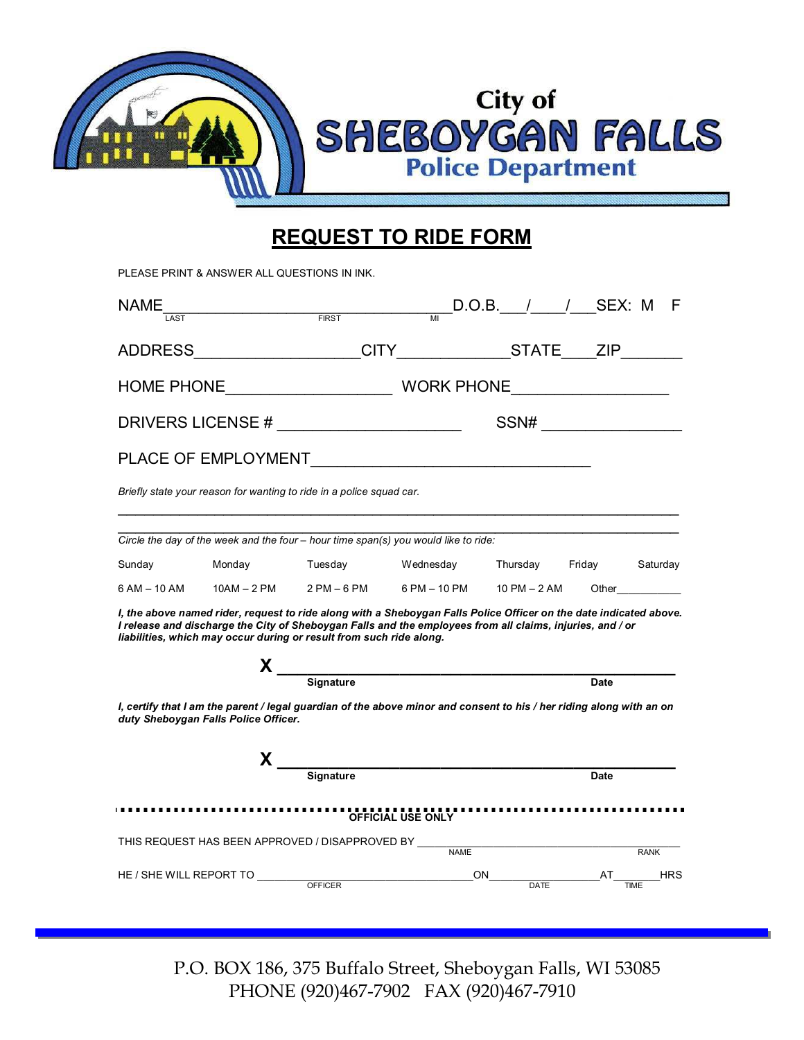

## **REQUEST TO RIDE FORM**

|              | PLEASE PRINT & ANSWER ALL QUESTIONS IN INK. |                                                                                                                                                                                                                                                                                                                                                                                                                                   |                                         |                     |             |                                                                                                                                                                                                                                |
|--------------|---------------------------------------------|-----------------------------------------------------------------------------------------------------------------------------------------------------------------------------------------------------------------------------------------------------------------------------------------------------------------------------------------------------------------------------------------------------------------------------------|-----------------------------------------|---------------------|-------------|--------------------------------------------------------------------------------------------------------------------------------------------------------------------------------------------------------------------------------|
| NAME<br>LAST |                                             | $\frac{1}{\sqrt{1-\frac{1}{\sqrt{1-\frac{1}{\sqrt{1-\frac{1}{\sqrt{1-\frac{1}{\sqrt{1-\frac{1}{\sqrt{1-\frac{1}{\sqrt{1-\frac{1}{\sqrt{1-\frac{1}{\sqrt{1-\frac{1}{\sqrt{1-\frac{1}{\sqrt{1-\frac{1}{\sqrt{1-\frac{1}{\sqrt{1-\frac{1}{\sqrt{1-\frac{1}{\sqrt{1-\frac{1}{\sqrt{1-\frac{1}{\sqrt{1-\frac{1}{\sqrt{1-\frac{1}{\sqrt{1-\frac{1}{\sqrt{1-\frac{1}{\sqrt{1-\frac{1}{\sqrt{1-\frac{1}{\sqrt{1-\frac{1}{\sqrt{1-\frac{1$ |                                         |                     |             |                                                                                                                                                                                                                                |
|              |                                             | ADDRESS___________________CITY______________STATE____ZIP________                                                                                                                                                                                                                                                                                                                                                                  |                                         |                     |             |                                                                                                                                                                                                                                |
|              |                                             |                                                                                                                                                                                                                                                                                                                                                                                                                                   |                                         |                     |             |                                                                                                                                                                                                                                |
|              |                                             | DRIVERS LICENSE # ________________________                                                                                                                                                                                                                                                                                                                                                                                        |                                         |                     |             |                                                                                                                                                                                                                                |
|              |                                             |                                                                                                                                                                                                                                                                                                                                                                                                                                   |                                         |                     |             |                                                                                                                                                                                                                                |
|              |                                             | Briefly state your reason for wanting to ride in a police squad car.                                                                                                                                                                                                                                                                                                                                                              |                                         |                     |             |                                                                                                                                                                                                                                |
|              |                                             | Circle the day of the week and the four - hour time span(s) you would like to ride:                                                                                                                                                                                                                                                                                                                                               |                                         |                     |             |                                                                                                                                                                                                                                |
| Sunday       |                                             | Monday Tuesday Wednesday Thursday Friday Saturday                                                                                                                                                                                                                                                                                                                                                                                 |                                         |                     |             |                                                                                                                                                                                                                                |
| 6 AM – 10 AM |                                             | $10AM - 2PM$ $2PM - 6PM$                                                                                                                                                                                                                                                                                                                                                                                                          | 6 PM - 10 PM 10 PM - 2 AM               |                     |             | Other the control of the control of the control of the control of the control of the control of the control of the control of the control of the control of the control of the control of the control of the control of the co |
|              |                                             | I, the above named rider, request to ride along with a Sheboygan Falls Police Officer on the date indicated above.<br>I release and discharge the City of Sheboygan Falls and the employees from all claims, injuries, and / or<br>liabilities, which may occur during or result from such ride along.                                                                                                                            |                                         |                     |             |                                                                                                                                                                                                                                |
|              |                                             | $X$ $\overline{\phantom{a}}$ $\phantom{a}$ $\phantom{a}$ $\phantom{a}$ $\phantom{a}$ $\phantom{a}$ $\phantom{a}$ $\phantom{a}$ $\phantom{a}$ $\phantom{a}$ $\phantom{a}$ $\phantom{a}$ $\phantom{a}$ $\phantom{a}$ $\phantom{a}$ $\phantom{a}$ $\phantom{a}$ $\phantom{a}$ $\phantom{a}$ $\phantom{a}$ $\phantom{a}$ $\phantom{a}$ $\phantom{a}$ $\phantom{a}$                                                                    |                                         |                     | <b>Date</b> |                                                                                                                                                                                                                                |
|              | duty Sheboygan Falls Police Officer.        | I, certify that I am the parent / legal guardian of the above minor and consent to his / her riding along with an on                                                                                                                                                                                                                                                                                                              |                                         |                     |             |                                                                                                                                                                                                                                |
|              |                                             | $X$ $\overline{\phantom{a}}$ $\phantom{a}$ $\phantom{a}$ $\phantom{a}$ $\phantom{a}$ $\phantom{a}$ $\phantom{a}$ $\phantom{a}$ $\phantom{a}$ $\phantom{a}$ $\phantom{a}$ $\phantom{a}$ $\phantom{a}$ $\phantom{a}$ $\phantom{a}$ $\phantom{a}$ $\phantom{a}$ $\phantom{a}$ $\phantom{a}$ $\phantom{a}$ $\phantom{a}$ $\phantom{a}$ $\phantom{a}$ $\phantom{a}$                                                                    |                                         |                     |             |                                                                                                                                                                                                                                |
|              |                                             |                                                                                                                                                                                                                                                                                                                                                                                                                                   |                                         |                     | <b>Date</b> |                                                                                                                                                                                                                                |
|              |                                             |                                                                                                                                                                                                                                                                                                                                                                                                                                   |                                         |                     |             |                                                                                                                                                                                                                                |
|              |                                             | THIS REQUEST HAS BEEN APPROVED / DISAPPROVED BY ____                                                                                                                                                                                                                                                                                                                                                                              | <b>NAME</b>                             |                     |             | RANK                                                                                                                                                                                                                           |
|              |                                             |                                                                                                                                                                                                                                                                                                                                                                                                                                   | <u> 1989 - Johann Barbara, martxa a</u> | ON DATE AT FINE HRS |             |                                                                                                                                                                                                                                |

P.O. BOX 186, 375 Buffalo Street, Sheboygan Falls, WI 53085 PHONE (920)467-7902 FAX (920)467-7910